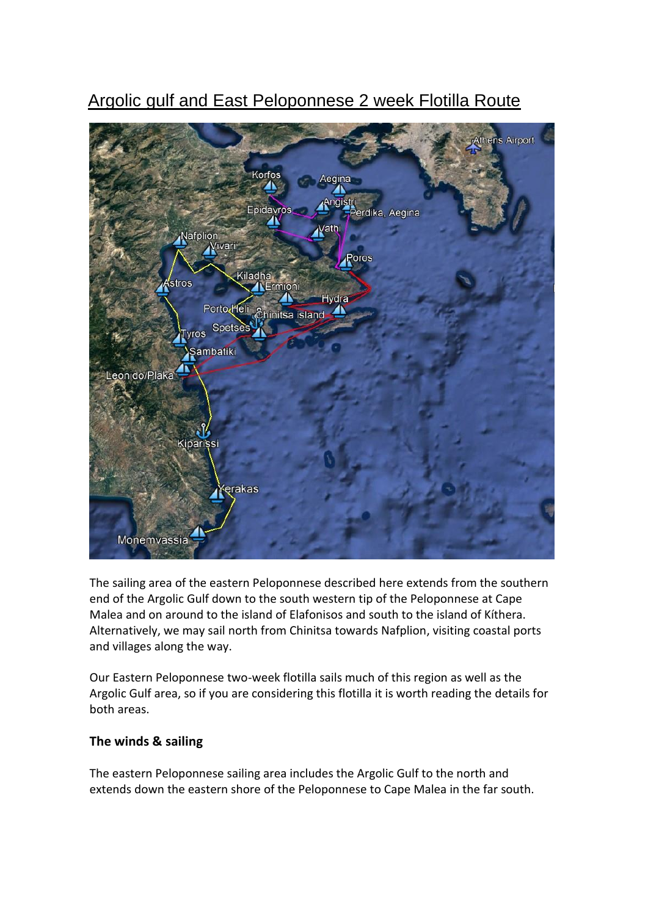# Argolic gulf and East Peloponnese 2 week Flotilla Route



The sailing area of the eastern Peloponnese described here extends from the southern end of the Argolic Gulf down to the south western tip of the Peloponnese at Cape Malea and on around to the island of Elafonisos and south to the island of Kíthera. Alternatively, we may sail north from Chinitsa towards Nafplion, visiting coastal ports and villages along the way.

Our Eastern Peloponnese two-week flotilla sails much of this region as well as the Argolic Gulf area, so if you are considering this flotilla it is worth reading the details for both areas.

### **The winds & sailing**

The eastern Peloponnese sailing area includes the Argolic Gulf to the north and extends down the eastern shore of the Peloponnese to Cape Malea in the far south.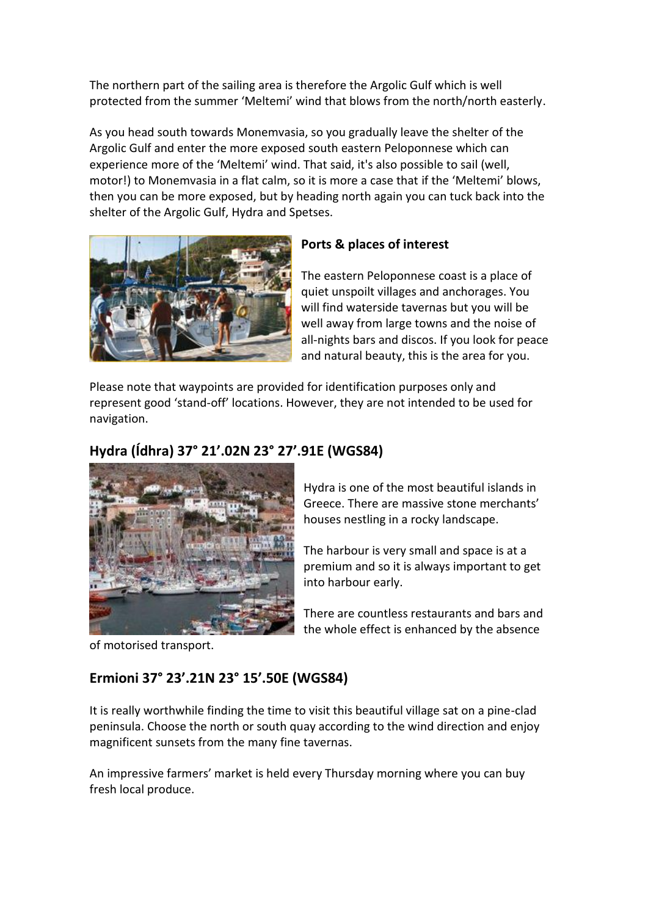The northern part of the sailing area is therefore the Argolic Gulf which is well protected from the summer 'Meltemi' wind that blows from the north/north easterly.

As you head south towards Monemvasia, so you gradually leave the shelter of the Argolic Gulf and enter the more exposed south eastern Peloponnese which can experience more of the 'Meltemi' wind. That said, it's also possible to sail (well, motor!) to Monemvasia in a flat calm, so it is more a case that if the 'Meltemi' blows, then you can be more exposed, but by heading north again you can tuck back into the shelter of the Argolic Gulf, Hydra and Spetses.



### **Ports & places of interest**

The eastern Peloponnese coast is a place of quiet unspoilt villages and anchorages. You will find waterside tavernas but you will be well away from large towns and the noise of all-nights bars and discos. If you look for peace and natural beauty, this is the area for you.

Please note that waypoints are provided for identification purposes only and represent good 'stand-off' locations. However, they are not intended to be used for navigation.

## **Hydra (Ídhra) 37° 21'.02N 23° 27'.91E (WGS84)**



Hydra is one of the most beautiful islands in Greece. There are massive stone merchants' houses nestling in a rocky landscape.

The harbour is very small and space is at a premium and so it is always important to get into harbour early.

There are countless restaurants and bars and the whole effect is enhanced by the absence

of motorised transport.

# **Ermioni 37° 23'.21N 23° 15'.50E (WGS84)**

It is really worthwhile finding the time to visit this beautiful village sat on a pine-clad peninsula. Choose the north or south quay according to the wind direction and enjoy magnificent sunsets from the many fine tavernas.

An impressive farmers' market is held every Thursday morning where you can buy fresh local produce.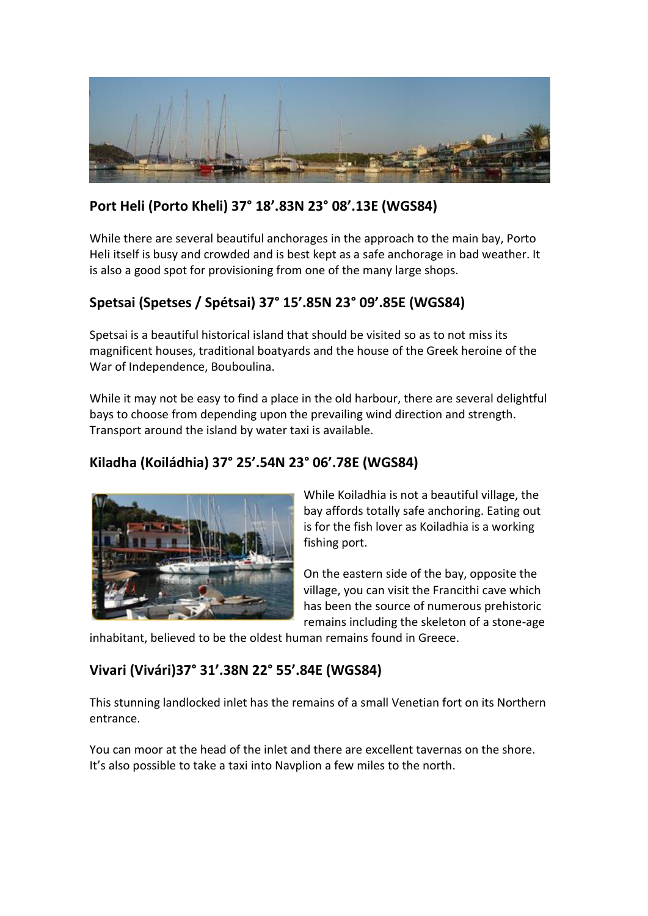

# **Port Heli (Porto Kheli) 37° 18'.83N 23° 08'.13E (WGS84)**

While there are several beautiful anchorages in the approach to the main bay, Porto Heli itself is busy and crowded and is best kept as a safe anchorage in bad weather. It is also a good spot for provisioning from one of the many large shops.

# **Spetsai (Spetses / Spétsai) 37° 15'.85N 23° 09'.85E (WGS84)**

Spetsai is a beautiful historical island that should be visited so as to not miss its magnificent houses, traditional boatyards and the house of the Greek heroine of the War of Independence, Bouboulina.

While it may not be easy to find a place in the old harbour, there are several delightful bays to choose from depending upon the prevailing wind direction and strength. Transport around the island by water taxi is available.

### **Kiladha (Koiládhia) 37° 25'.54N 23° 06'.78E (WGS84)**



While Koiladhia is not a beautiful village, the bay affords totally safe anchoring. Eating out is for the fish lover as Koiladhia is a working fishing port.

On the eastern side of the bay, opposite the village, you can visit the Francithi cave which has been the source of numerous prehistoric remains including the skeleton of a stone-age

inhabitant, believed to be the oldest human remains found in Greece.

### **Vivari (Vivári)37° 31'.38N 22° 55'.84E (WGS84)**

This stunning landlocked inlet has the remains of a small Venetian fort on its Northern entrance.

You can moor at the head of the inlet and there are excellent tavernas on the shore. It's also possible to take a taxi into Navplion a few miles to the north.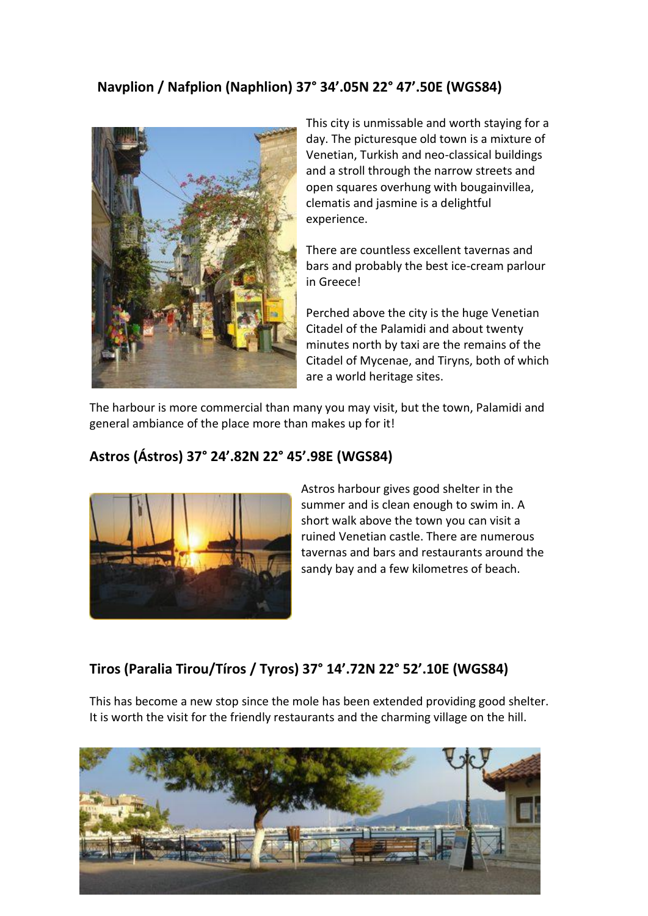# **Navplion / Nafplion (Naphlion) 37° 34'.05N 22° 47'.50E (WGS84)**



This city is unmissable and worth staying for a day. The picturesque old town is a mixture of Venetian, Turkish and neo-classical buildings and a stroll through the narrow streets and open squares overhung with bougainvillea, clematis and jasmine is a delightful experience.

There are countless excellent tavernas and bars and probably the best ice-cream parlour in Greece!

Perched above the city is the huge Venetian Citadel of the Palamidi and about twenty minutes north by taxi are the remains of the Citadel of Mycenae, and Tiryns, both of which are a world heritage sites.

The harbour is more commercial than many you may visit, but the town, Palamidi and general ambiance of the place more than makes up for it!

#### **Astros (Ástros) 37° 24'.82N 22° 45'.98E (WGS84)**



Astros harbour gives good shelter in the summer and is clean enough to swim in. A short walk above the town you can visit a ruined Venetian castle. There are numerous tavernas and bars and restaurants around the sandy bay and a few kilometres of beach.

### **Tiros (Paralia Tirou/Tíros / Tyros) 37° 14'.72N 22° 52'.10E (WGS84)**

This has become a new stop since the mole has been extended providing good shelter. It is worth the visit for the friendly restaurants and the charming village on the hill.

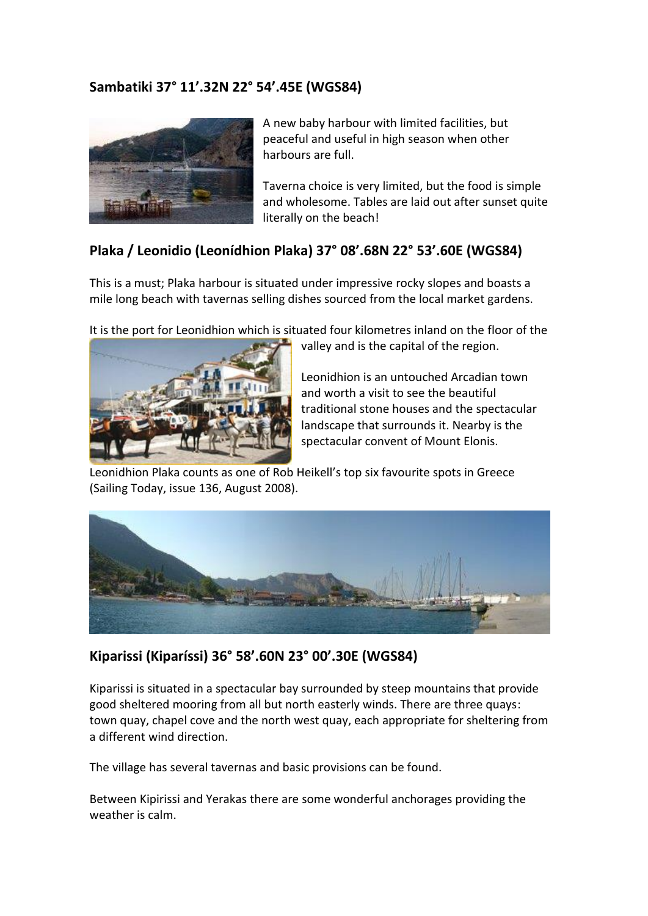### **Sambatiki 37° 11'.32N 22° 54'.45E (WGS84)**



A new baby harbour with limited facilities, but peaceful and useful in high season when other harbours are full.

Taverna choice is very limited, but the food is simple and wholesome. Tables are laid out after sunset quite literally on the beach!

### **Plaka / Leonidio (Leonídhion Plaka) 37° 08'.68N 22° 53'.60E (WGS84)**

This is a must; Plaka harbour is situated under impressive rocky slopes and boasts a mile long beach with tavernas selling dishes sourced from the local market gardens.

It is the port for Leonidhion which is situated four kilometres inland on the floor of the



valley and is the capital of the region.

Leonidhion is an untouched Arcadian town and worth a visit to see the beautiful traditional stone houses and the spectacular landscape that surrounds it. Nearby is the spectacular convent of Mount Elonis.

Leonidhion Plaka counts as one of Rob Heikell's top six favourite spots in Greece (Sailing Today, issue 136, August 2008).



### **Kiparissi (Kiparíssi) 36° 58'.60N 23° 00'.30E (WGS84)**

Kiparissi is situated in a spectacular bay surrounded by steep mountains that provide good sheltered mooring from all but north easterly winds. There are three quays: town quay, chapel cove and the north west quay, each appropriate for sheltering from a different wind direction.

The village has several tavernas and basic provisions can be found.

Between Kipirissi and Yerakas there are some wonderful anchorages providing the weather is calm.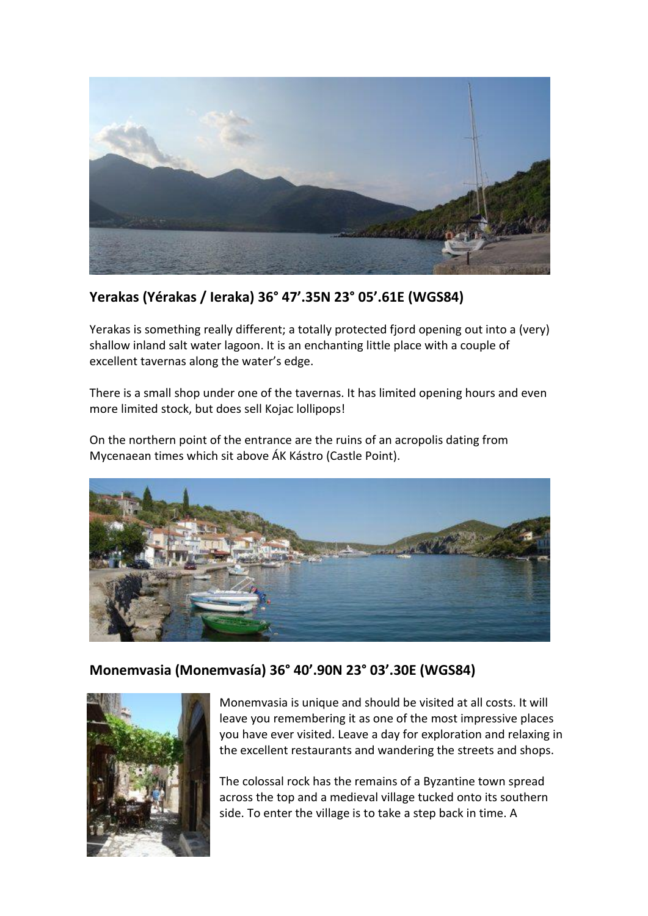

### **Yerakas (Yérakas / Ieraka) 36° 47'.35N 23° 05'.61E (WGS84)**

Yerakas is something really different; a totally protected fjord opening out into a (very) shallow inland salt water lagoon. It is an enchanting little place with a couple of excellent tavernas along the water's edge.

There is a small shop under one of the tavernas. It has limited opening hours and even more limited stock, but does sell Kojac lollipops!

On the northern point of the entrance are the ruins of an acropolis dating from Mycenaean times which sit above ÁK Kástro (Castle Point).



### **Monemvasia (Monemvasía) 36° 40'.90N 23° 03'.30E (WGS84)**



Monemvasia is unique and should be visited at all costs. It will leave you remembering it as one of the most impressive places you have ever visited. Leave a day for exploration and relaxing in the excellent restaurants and wandering the streets and shops.

The colossal rock has the remains of a Byzantine town spread across the top and a medieval village tucked onto its southern side. To enter the village is to take a step back in time. A